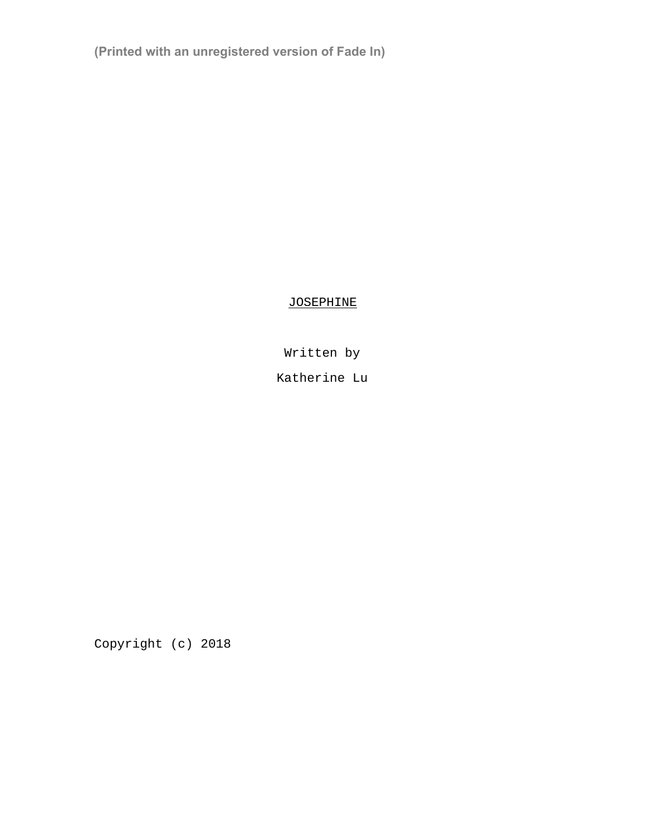**(Printed with an unregistered version of Fade In)**

JOSEPHINE

Written by

Katherine Lu

Copyright (c) 2018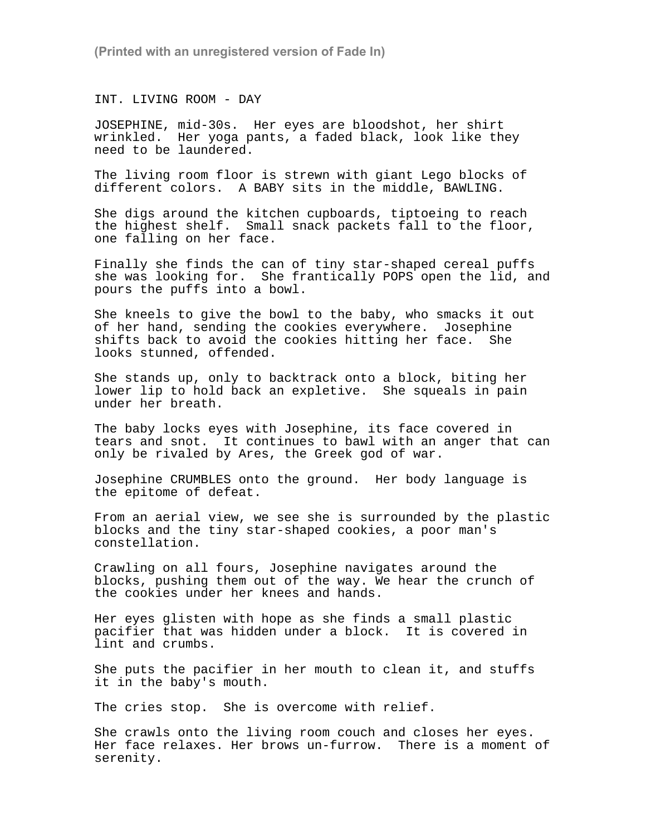**(Printed with an unregistered version of Fade In)**

INT. LIVING ROOM - DAY

JOSEPHINE, mid-30s. Her eyes are bloodshot, her shirt wrinkled. Her yoga pants, a faded black, look like they need to be laundered.

The living room floor is strewn with giant Lego blocks of different colors. A BABY sits in the middle, BAWLING.

She digs around the kitchen cupboards, tiptoeing to reach the highest shelf. Small snack packets fall to the floor, one falling on her face.

Finally she finds the can of tiny star-shaped cereal puffs she was looking for. She frantically POPS open the lid, and pours the puffs into a bowl.

She kneels to give the bowl to the baby, who smacks it out of her hand, sending the cookies everywhere. Josephine shifts back to avoid the cookies hitting her face. She looks stunned, offended.

She stands up, only to backtrack onto a block, biting her lower lip to hold back an expletive. She squeals in pain under her breath.

The baby locks eyes with Josephine, its face covered in tears and snot. It continues to bawl with an anger that can only be rivaled by Ares, the Greek god of war.

Josephine CRUMBLES onto the ground. Her body language is the epitome of defeat.

From an aerial view, we see she is surrounded by the plastic blocks and the tiny star-shaped cookies, a poor man's constellation.

Crawling on all fours, Josephine navigates around the blocks, pushing them out of the way. We hear the crunch of the cookies under her knees and hands.

Her eyes glisten with hope as she finds a small plastic pacifier that was hidden under a block. It is covered in lint and crumbs.

She puts the pacifier in her mouth to clean it, and stuffs it in the baby's mouth.

The cries stop. She is overcome with relief.

She crawls onto the living room couch and closes her eyes. Her face relaxes. Her brows un-furrow. There is a moment of serenity.